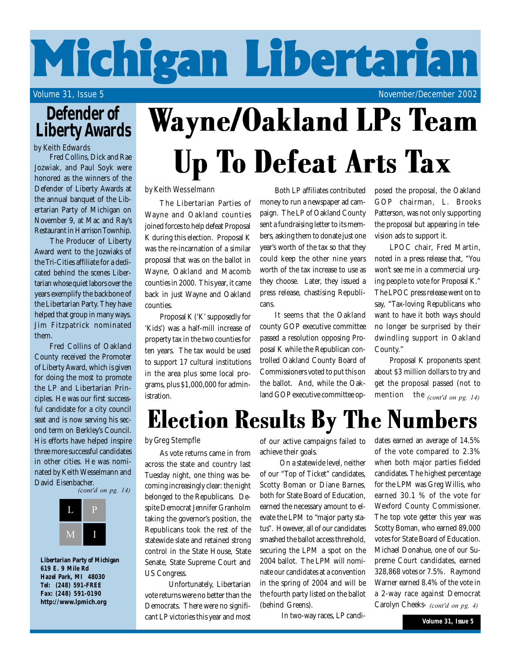# **Michigan Libertarian**

Volume 31, Issue 5 November/December 2002

### **Defender of Liberty Awards**

#### by Keith Edwards

Fred Collins, Dick and Rae Jozwiak, and Paul Soyk were honored as the winners of the Defender of Liberty Awards at the annual banquet of the Libertarian Party of Michigan on November 9, at Mac and Ray's Restaurant in Harrison Townhip.

 The Producer of Liberty Award went to the Jozwiaks of the Tri-Cities affiliate for a dedicated behind the scenes Libertarian whose quiet labors over the years exemplify the backbone of the Libertarian Party. They have helped that group in many ways. Jim Fitzpatrick nominated them.

Fred Collins of Oakland County received the Promoter of Liberty Award, which is given for doing the most to promote the LP and Libertarian Principles. He was our first successful candidate for a city council seat and is now serving his second term on Berkley's Council. His efforts have helped inspire three more successful candidates in other cities. He was nominated by Keith Wesselmann and David Eisenbacher.

 $\frac{1}{4}$  (cont'd on pg. 14)



*Libertarian Party of Michigan 619 E. 9 Mile Rd Hazel Park, MI 48030 Tel: (248) 591-FREE Fax: (248) 591-0190* **http://www.lpmich.org**

# Wayne/Oakland LPs Team Up To Defeat Arts Tax

#### by Keith Wesselmann

The Libertarian Parties of Wayne and Oakland counties joined forces to help defeat Proposal K during this election. Proposal K was the re-incarnation of a similar proposal that was on the ballot in Wayne, Oakland and Macomb counties in 2000. This year, it came back in just Wayne and Oakland counties.

Proposal K ('K' supposedly for 'Kids') was a half-mill increase of property tax in the two counties for ten years. The tax would be used to support 17 cultural institutions in the area plus some local programs, plus \$1,000,000 for administration.

Both LP affiliates contributed money to run a newspaper ad campaign. The LP of Oakland County sent a fundraising letter to its members, asking them to donate just one year's worth of the tax so that they could keep the other nine years worth of the tax increase to use as they choose. Later, they issued a press release, chastising Republicans.

It seems that the Oakland county GOP executive committee passed a resolution opposing Proposal K while the Republican controlled Oakland County Board of Commissioners voted to put this on the ballot. And, while the Oakland GOP executive committee opposed the proposal, the Oakland GOP chairman, L. Brooks Patterson, was not only supporting the proposal but appearing in television ads to support it.

LPOC chair, Fred Martin, noted in a press release that, "You won't see me in a commercial urging people to vote for Proposal K." The LPOC press release went on to say, "Tax-loving Republicans who want to have it both ways should no longer be surprised by their dwindling support in Oakland County."

Proposal K proponents spent about \$3 million dollars to try and get the proposal passed (not to  $\begin{bmatrix} \text{mention} & \text{the } \text{ (cont'd on pg. 14)} \end{bmatrix}$ 

### Election Results By The Numbers

### by Greg Stempfle

As vote returns came in from across the state and country last Tuesday night, one thing was becoming increasingly clear: the night belonged to the Republicans. Despite Democrat Jennifer Granholm taking the governor's position, the Republicans took the rest of the statewide slate and retained strong control in the State House, State Senate, State Supreme Court and US Congress.

 Unfortunately, Libertarian vote returns were no better than the Democrats. There were no significant LP victories this year and most

of our active campaigns failed to achieve their goals.

 On a statewide level, neither of our "Top of Ticket" candidates, Scotty Boman or Diane Barnes, both for State Board of Education, earned the necessary amount to elevate the LPM to "major party status". However, all of our candidates smashed the ballot access threshold, securing the LPM a spot on the 2004 ballot. The LPM will nominate our candidates at a convention in the spring of 2004 and will be the fourth party listed on the ballot (behind Greens).

In two-way races, LP candi-

dates earned an average of 14.5% of the vote compared to 2.3% when both major parties fielded candidates. The highest percentage for the LPM was Greg Willis, who earned 30.1 % of the vote for Wexford County Commissioner. The top vote getter this year was Scotty Boman, who earned 89,000 votes for State Board of Education. Michael Donahue, one of our Supreme Court candidates, earned 328,868 votes or 7.5%. Raymond Warner earned 8.4% of the vote in a 2-way race against Democrat Carolyn Cheeks- *(cont'd on pg. 4)*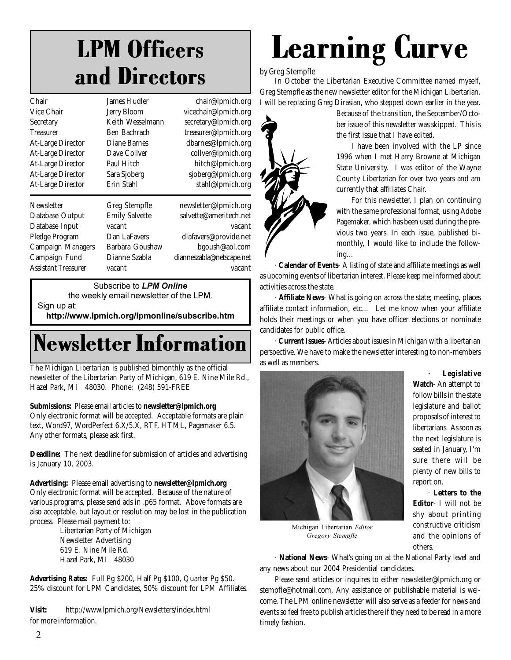### LPM Officers and Directors

| Chair                      | James Hudler          | chair@lpmich.org          |
|----------------------------|-----------------------|---------------------------|
| Vice Chair                 | <b>Jerry Bloom</b>    | vicechair@lpmich.org      |
| Secretary                  | Keith Wesselmann      | secretary@lpmich.org      |
| <b>Treasurer</b>           | Ben Bachrach          | treasurer@lpmich.org      |
| <b>At-Large Director</b>   | Diane Barnes          | dbarnes@lpmich.org        |
| <b>At-Large Director</b>   | Dave Collver          | collver@lpmich.org        |
| <b>At-Large Director</b>   | Paul Hitch            | hitch@lpmich.org          |
| At-Large Director          | Sara Sjoberg          | sjoberg@lpmich.org        |
| <b>At-Large Director</b>   | Erin Stahl            | stahl@lpmich.org          |
| Newsletter                 | Greg Stempfle         | newsletter@lpmich.org     |
| Database Output            | <b>Emily Salvette</b> | salvette@ameritech.net    |
| Database Input             | vacant                | vacant                    |
| Pledge Program             | Dan LaFavers          | dlafavers@provide.net     |
| <b>Campaign Managers</b>   | Barbara Goushaw       | bgoush@aol.com            |
| Campaign Fund              | Dianne Szabla         | dianneszabla@netscape.net |
| <b>Assistant Treasurer</b> | vacant                | vacant                    |
|                            |                       |                           |

Subscribe to **LPM Online** 

the weekly email newsletter of the LPM. Sign up at:

http://www.lpmich.org/lpmonline/subscribe.htm

### Newsletter Information

The *Michigan Libertarian* is published bimonthly as the official newsletter of the Libertarian Party of Michigan, 619 E. Nine Mile Rd., Hazel Park, MI 48030. Phone: (248) 591-FREE

**Submissions:** Please email articles to **newsletter@lpmich.org**

Only electronic format will be accepted. Acceptable formats are plain text, Word97, WordPerfect 6.X/5.X, RTF, HTML, Pagemaker 6.5. Any other formats, please ask first.

**Deadline:** The next deadline for submission of articles and advertising is January 10, 2003.

**Advertising:** Please email advertising to **newsletter@lpmich.org** Only electronic format will be accepted. Because of the nature of various programs, please send ads in .p65 format. Above formats are also acceptable, but layout or resolution may be lost in the publication process. Please mail payment to:

> Libertarian Party of Michigan Newsletter Advertising 619 E. Nine Mile Rd. Hazel Park, MI 48030

**Advertising Rates:** Full Pg \$200, Half Pg \$100, Quarter Pg \$50. 25% discount for LPM Candidates, 50% discount for LPM Affiliates.

**Visit:** http://www.lpmich.org/Newsletters/index.html for more information.

# Learning Curve

#### by Greg Stempfle

In October the Libertarian Executive Committee named myself, Greg Stempfle as the new newsletter editor for the Michigan Libertarian. I will be replacing Greg Dirasian, who stepped down earlier in the year.



Because of the transition, the September/October issue of this newsletter was skipped. This is the first issue that I have edited.

I have been involved with the LP since 1996 when I met Harry Browne at Michigan State University. I was editor of the Wayne County Libertarian for over two years and am currently that affiliates Chair.

For this newsletter, I plan on continuing with the same professional format, using Adobe Pagemaker, which has been used during the previous two years. In each issue, published bimonthly, I would like to include the following…

· **Calendar of Events**- A listing of state and affiliate meetings as well as upcoming events of libertarian interest. Please keep me informed about activities across the state.

· **Affiliate News**- What is going on across the state; meeting, places affiliate contact information, etc… Let me know when your affiliate holds their meetings or when you have officer elections or nominate candidates for public office.

· **Current Issues**- Articles about issues in Michigan with a libertarian perspective. We have to make the newsletter interesting to non-members as well as members.



**· Legislative**

**Watch**- An attempt to follow bills in the state legislature and ballot proposals of interest to libertarians. As soon as the next legislature is seated in January, I'm sure there will be plenty of new bills to report on.

· **Letters to the Editor**- I will not be shy about printing constructive criticism and the opinions of others.

Michigan Libertarian Editor *Gregory Stempfle* 

· **National News**- What's going on at the National Party level and any news about our 2004 Presidential candidates.

Please send articles or inquires to either newsletter@lpmich.org or stempfle@hotmail.com. Any assistance or publishable material is welcome. The LPM online newsletter will also serve as a feeder for news and events so feel free to publish articles there if they need to be read in a more timely fashion.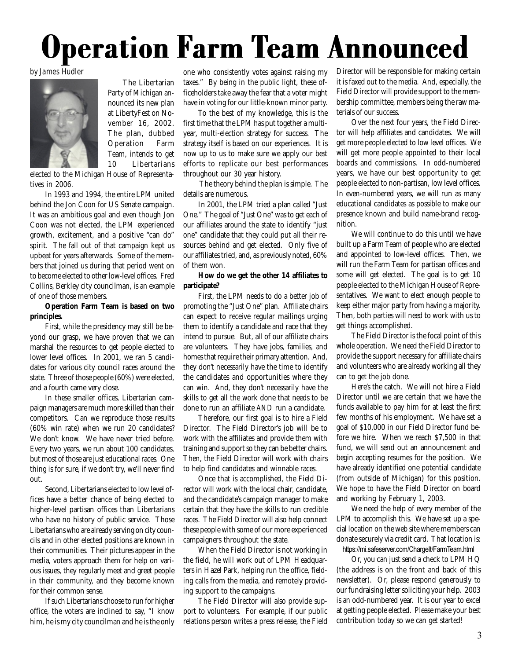# **Operation Farm Team Announced**



The Libertarian Party of Michigan announced its new plan at LibertyFest on November 16, 2002. The plan, dubbed Operation Farm Team, intends to get 10 Libertarians

elected to the Michigan House of Representatives in 2006.

In 1993 and 1994, the entire LPM united behind the Jon Coon for US Senate campaign. It was an ambitious goal and even though Jon Coon was not elected, the LPM experienced growth, excitement, and a positive "can do" spirit. The fall out of that campaign kept us upbeat for years afterwards. Some of the members that joined us during that period went on to become elected to other low-level offices. Fred Collins, Berkley city councilman, is an example of one of those members.

#### **Operation Farm Team is based on two principles.**

First, while the presidency may still be beyond our grasp, we have proven that we can marshal the resources to get people elected to lower level offices. In 2001, we ran 5 candidates for various city council races around the state. Three of those people (60%) were elected, and a fourth came very close.

In these smaller offices, Libertarian campaign managers are much more skilled than their competitors. Can we reproduce those results (60% win rate) when we run 20 candidates? We don't know. We have never tried before. Every two years, we run about 100 candidates, but most of those are just educational races. One thing is for sure, if we don't try, we'll never find out.

Second, Libertarians elected to low level offices have a better chance of being elected to higher-level partisan offices than Libertarians who have no history of public service. Those Libertarians who are already serving on city councils and in other elected positions are known in their communities. Their pictures appear in the media, voters approach them for help on various issues, they regularly meet and greet people in their community, and they become known for their common sense.

If such Libertarians choose to run for higher office, the voters are inclined to say, "I know him, he is my city councilman and he is the only

by James Hudler **Exercise 2018** one who consistently votes against raising my Director will be responsible for making certain taxes." By being in the public light, these officeholders take away the fear that a voter might have in voting for our little-known minor party.

To the best of my knowledge, this is the first time that the LPM has put together a multiyear, multi-election strategy for success. The strategy itself is based on our experiences. It is now up to us to make sure we apply our best efforts to replicate our best performances throughout our 30 year history.

 The theory behind the plan is simple. The details are numerous.

In 2001, the LPM tried a plan called "Just One." The goal of "Just One" was to get each of our affiliates around the state to identify "just one" candidate that they could put all their resources behind and get elected. Only five of our affiliates tried, and, as previously noted, 60% of them won.

#### **How do we get the other 14 affiliates to participate?**

First, the LPM needs to do a better job of promoting the "Just One" plan. Affiliate chairs can expect to receive regular mailings urging them to identify a candidate and race that they intend to pursue. But, all of our affiliate chairs are volunteers. They have jobs, families, and homes that require their primary attention. And, they don't necessarily have the time to identify the candidates and opportunities where they can win. And, they don't necessarily have the skills to get all the work done that needs to be done to run an affiliate *AND* run a candidate.

Therefore, our first goal is to hire a Field Director. The Field Director's job will be to work with the affiliates and provide them with training and support so they can be better chairs. Then, the Field Director will work with chairs to help find candidates and winnable races.

Once that is accomplished, the Field Director will work with the local chair, candidate, and the candidate's campaign manager to make certain that they have the skills to run credible races. The Field Director will also help connect these people with some of our more experienced campaigners throughout the state.

When the Field Director is not working in the field, he will work out of LPM Headquarters in Hazel Park, helping run the office, fielding calls from the media, and remotely providing support to the campaigns.

The Field Director will also provide support to volunteers. For example, if our public relations person writes a press release, the Field it is faxed out to the media. And, especially, the Field Director will provide support to the membership committee, members being the raw materials of our success.

Over the next four years, the Field Director will help affiliates and candidates. We will get more people elected to low level offices. We will get more people appointed to their local boards and commissions. In odd-numbered years, we have our best opportunity to get people elected to non-partisan, low level offices. In even-numbered years, we will run as many educational candidates as possible to make our presence known and build name-brand recognition.

We will continue to do this until we have built up a Farm Team of people who are elected and appointed to low-level offices. Then, we will run the Farm Team for partisan offices and some will get elected. The goal is to get 10 people elected to the Michigan House of Representatives. We want to elect enough people to keep either major party from having a majority. Then, both parties will need to work with us to get things accomplished.

The Field Director is the focal point of this whole operation. We need the Field Director to provide the support necessary for affiliate chairs and volunteers who are already working all they can to get the job done.

Here's the catch. We will not hire a Field Director until we are certain that we have the funds available to pay him for at least the first few months of his employment. We have set a goal of \$10,000 in our Field Director fund before we hire. When we reach \$7,500 in that fund, we will send out an announcement and begin accepting resumes for the position. We have already identified one potential candidate (from outside of Michigan) for this position. We hope to have the Field Director on board and working by February 1, 2003.

We need the help of every member of the LPM to accomplish this. We have set up a special location on the web site where members can donate securely via credit card. That location is: https://mi.safeserver.com/Chargelt/FarmTeam.html

Or, you can just send a check to LPM HQ (the address is on the front and back of this newsletter). Or, please respond generously to our fundraising letter soliciting your help. 2003 is an odd-numbered year. It is our year to excel at getting people elected. Please make your best contribution today so we can get started!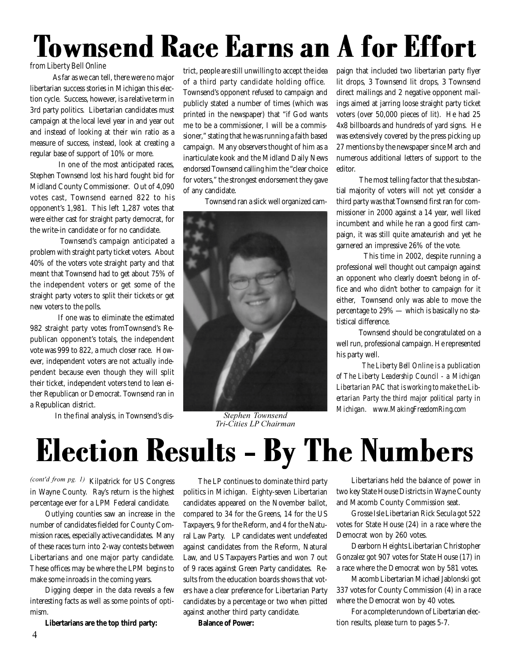# Townsend Race Earns an A for Effort

#### from Liberty Bell Online

 As far as we can tell, there were no major libertarian success stories in Michigan this election cycle. Success, however, is a relative term in 3rd party politics. Libertarian candidates must campaign at the local level year in and year out and instead of looking at their win ratio as a measure of success, instead, look at creating a regular base of support of 10% or more.

 In one of the most anticipated races, Stephen Townsend lost his hard fought bid for Midland County Commissioner. Out of 4,090 votes cast, Townsend earned 822 to his opponent's 1,981. This left 1,287 votes that were either cast for straight party democrat, for the write-in candidate or for no candidate.

 Townsend's campaign anticipated a problem with straight party ticket voters. About 40% of the voters vote straight party and that meant that Townsend had to get about 75% of the independent voters or get some of the straight party voters to split their tickets or get new voters to the polls.

 If one was to eliminate the estimated 982 straight party votes fromTownsend's Republican opponent's totals, the independent vote was 999 to 822, a much closer race. However, independent voters are not actually independent because even though they will split their ticket, independent voters tend to lean either Republican or Democrat. Townsend ran in a Republican district.

In the final analysis, in Townsend's dis-

trict, people are still unwilling to accept the idea of a third party candidate holding office. Townsend's opponent refused to campaign and publicly stated a number of times (which was printed in the newspaper) that "if God wants me to be a commissioner, I will be a commissioner," stating that he was running a faith based campaign. Many observers thought of him as a inarticulate kook and the Midland Daily News endorsed Townsend calling him the "clear choice for voters," the strongest endorsement they gave of any candidate.

Townsend ran a slick well organized cam-



*<u>ephen</u> Townsend Tri-Cities LP Chairman* 

paign that included two libertarian party flyer lit drops, 3 Townsend lit drops, 3 Townsend direct mailings and 2 negative opponent mailings aimed at jarring loose straight party ticket voters (over 50,000 pieces of lit). He had 25 4x8 billboards and hundreds of yard signs. He was extensively covered by the press picking up 27 mentions by the newspaper since March and numerous additional letters of support to the editor.

 The most telling factor that the substantial majority of voters will not yet consider a third party was that Townsend first ran for commissioner in 2000 against a 14 year, well liked incumbent and while he ran a good first campaign, it was still quite amateurish and yet he garnered an impressive 26% of the vote.

 This time in 2002, despite running a professional well thought out campaign against an opponent who clearly doesn't belong in office and who didn't bother to campaign for it either, Townsend only was able to move the percentage to 29% — which is basically no statistical difference.

 Townsend should be congratulated on a well run, professional campaign. He represented his party well.

 *The Liberty Bell Online is a publication of The Liberty Leadership Council - a Michigan Libertarian PAC that is working to make the Libertarian Party the third major political party in Michigan. www.MakingFreedomRing.com -*

### Election Results - By The Numbers

(cont'd from pg. 1) Kilpatrick for US Congress in Wayne County. Ray's return is the highest percentage ever for a LPM Federal candidate.

Outlying counties saw an increase in the number of candidates fielded for County Commission races, especially active candidates. Many of these races turn into 2-way contests between Libertarians and one major party candidate. These offices may be where the LPM begins to make some inroads in the coming years.

Digging deeper in the data reveals a few interesting facts as well as some points of optimism.

**Libertarians are the top third party:**

The LP continues to dominate third party politics in Michigan. Eighty-seven Libertarian candidates appeared on the November ballot, compared to 34 for the Greens, 14 for the US Taxpayers, 9 for the Reform, and 4 for the Natural Law Party. LP candidates went undefeated against candidates from the Reform, Natural Law, and US Taxpayers Parties and won 7 out of 9 races against Green Party candidates. Results from the education boards shows that voters have a clear preference for Libertarian Party candidates by a percentage or two when pitted against another third party candidate.

**Balance of Power:**

Libertarians held the balance of power in two key State House Districts in Wayne County and Macomb County Commission seat.

Grosse Isle Libertarian Rick Secula got 522 votes for State House (24) in a race where the Democrat won by 260 votes.

Dearborn Heights Libertarian Christopher Gonzalez got 907 votes for State House (17) in a race where the Democrat won by 581 votes.

Macomb Libertarian Michael Jablonski got 337 votes for County Commission (4) in a race where the Democrat won by 40 votes.

For a complete rundown of Libertarian election results, please turn to pages 5-7.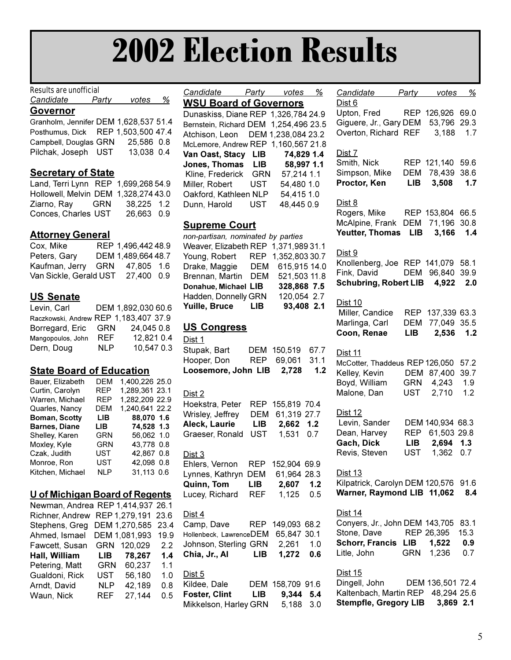# **2002 Election Results**

#### **Results are unofficial**

| Candidate | Party | votes |  |
|-----------|-------|-------|--|
| ⌒         |       |       |  |

Governor Granholm, Jennifer DEM 1,628,537 51.4 Posthumus, Dick REP 1,503,500 47.4 Campbell, Douglas GRN 25,586 0.8 Pilchak, Joseph UST 13,038 0.4

### **Secretary of State**

Land, Terri Lynn REP 1,699,268 54.9 Hollowell, Melvin DEM 1.328.274 43.0 Ziarno, Ray **GRN** 38,225 1.2 Conces, Charles UST 26.663 0.9

### **Attorney General**

Cox, Mike REP 1,496,442 48.9 Peters, Gary DEM 1,489,664 48.7 Kaufman, Jerry GRN 47,805 1.6 Van Sickle, Gerald UST 27,400 0.9

### **US Senate**

| Levin, Carl                           |            | DEM 1,892,030 60.6 |
|---------------------------------------|------------|--------------------|
| Raczkowski, Andrew REP 1,183.407 37.9 |            |                    |
| Borregard, Eric                       | GRN        | 24,045 0.8         |
| Mangopoulos, John                     | <b>REF</b> | 12,821 0.4         |
| Dern, Doug                            | <b>NLP</b> | 10,547 0.3         |

### **State Board of Education**

| Bauer, Elizabeth     | DEM        | 1,400,226 25.0 |
|----------------------|------------|----------------|
| Curtin, Carolyn      | <b>REP</b> | 1,289,361 23.1 |
| Warren, Michael      | <b>REP</b> | 1,282,209 22.9 |
| Quarles, Nancy       | DEM        | 1,240,641 22.2 |
| Boman, Scotty        | LIB        | 88.070 1.6     |
| <b>Barnes, Diane</b> | LIB.       | 74.528 1.3     |
| Shelley, Karen       | GRN        | 56.062 1.0     |
| Moxley, Kyle         | GRN        | 43,778 0.8     |
| Czak, Judith         | <b>UST</b> | 42.867 0.8     |
| Monroe, Ron          | <b>UST</b> | 42.098 0.8     |
| Kitchen, Michael     | <b>NLP</b> | 31,113 0.6     |
|                      |            |                |

| U of Michigan Board of Regents    |            |               |      |
|-----------------------------------|------------|---------------|------|
| Newman, Andrea REP 1,414,937 26.1 |            |               |      |
| Richner, Andrew                   |            | REP 1,279,191 | 23.6 |
| Stephens, Greg                    |            | DEM 1,270,585 | 23.4 |
| Ahmed, Ismael                     |            | DEM 1,081,993 | 19.9 |
| Fawcett, Susan                    |            | GRN 120,029   | 2.2  |
| Hall, William                     | LIB I      | 78,267        | 1.4  |
| Petering, Matt                    | GRN        | 60,237        | 1.1  |
| Gualdoni, Rick                    | <b>UST</b> | 56,180        | 1.0  |
| Arndt, David                      | NLP        | 42,189        | 0.8  |
| Waun, Nick                        | REF        | 27,144        | 0.5  |
|                                   |            |               |      |

Candidate Party votes % **WSU Board of Governors** 

Dunaskiss, Diane REP 1,326,784 24.9 Bernstein, Richard DEM 1,254,496 23.5 Atchison, Leon DEM 1,238,084 23.2 McLemore, Andrew REP 1, 160, 567 21.8 Van Oast, Stacy LIB 74,829 1.4 Jones, Thomas LIB 58,997 1.1 Kline, Frederick GRN 57,214 1.1 Miller, Robert **UST** 54,480 1.0 Oakford, Kathleen NLP 54,415 1.0 Dunn, Harold UST 48,445 0.9

### **Supreme Court**

| non-partisan, nominated by parties   |     |                    |  |
|--------------------------------------|-----|--------------------|--|
| Weaver, Elizabeth REP 1,371,989 31.1 |     |                    |  |
| Young, Robert                        |     | REP 1,352,803 30.7 |  |
| Drake, Maggie                        | DEM | 615,915 14.0       |  |
| Brennan, Martin                      | DEM | 521,503 11.8       |  |
| Donahue, Michael LIB                 |     | 328,868 7.5        |  |
| Hadden, Donnelly GRN                 |     | 120,054 2.7        |  |
| Yuille, Bruce                        | LIB | 93,408 2.1         |  |

### **US Congress**

Dist 1 Stupak, Bart DEM 150.519 67.7 Hooper, Don REP 69,061 31.1 Loosemore, John LIB 2,728  $1.2$ 

Dist 2

| Hoekstra, Peter                 | REP | 155,819 70.4     |  |
|---------------------------------|-----|------------------|--|
| Wrisley, Jeffrey                | DEM | 61,319 27.7      |  |
| Aleck, Laurie                   |     | LIB 2,662 1.2    |  |
| Graeser, Ronald                 |     | UST 1,531 0.7    |  |
| <u>Dist 3</u>                   |     |                  |  |
| Ehlers, Vernon                  | REP | 152,904 69.9     |  |
| Lynnes, Kathryn                 | DEM | 61,964 28.3      |  |
| Quinn, Tom                      | LIB | 2,607 1.2        |  |
| Lucey, Richard                  | REF | 1,125 0.5        |  |
| <u>Dist 4</u>                   |     |                  |  |
| Camp, Dave REP                  |     | 149,093 68.2     |  |
| Hollenbeck, LawrenceDEM         |     | 65,847 30.1      |  |
| Johnson, Sterling GRN 2,261 1.0 |     |                  |  |
| Chia, Jr., Al LIB               |     | 1,272 0.6        |  |
| <u>Dist 5</u>                   |     |                  |  |
| Kildee, Dale                    |     | DEM 158,709 91.6 |  |
| <b>Foster, Clint</b>            |     | LIB 9,344 5.4    |  |
| Mikkelson, Harley GRN 5,188 3.0 |     |                  |  |

| Candidate Party votes                                                 |                                 |                                      | <u>%</u>            |
|-----------------------------------------------------------------------|---------------------------------|--------------------------------------|---------------------|
| <u>Dist 6</u><br>Upton, Fred<br>Giguere, Jr., Gary DEM                | <b>REP</b>                      | 126,926 69.0<br>53,796 29.3          |                     |
| Overton, Richard REF                                                  |                                 | 3,188                                | 1.7                 |
| Dist 7<br>Smith, Nick<br>Simpson, Mike<br>Proctor, Ken                | DEM                             | REP 121,140<br>78,439<br>LIB 3,508   | 59.6<br>38.6<br>1.7 |
| Dist 8<br>Rogers, Mike                                                |                                 | REP 153,804 66.5                     |                     |
| McAlpine, Frank DEM 71,196<br><b>Yeutter, Thomas</b>                  |                                 | LIB 3,166                            | 30.8<br>1.4         |
| Dist 9<br>Knollenberg, Joe REP 141,079 58.1                           |                                 |                                      |                     |
| Fink, David<br>Schubring, Robert LIB 4,922                            |                                 | DEM 96,840                           | 39.9<br>2.0         |
| Dist 10                                                               |                                 |                                      |                     |
| Miller, Candice<br>Marlinga, Carl<br>Coon, Renae                      | <b>REP</b><br><b>DEM</b><br>LIB | 137,339 63.3<br>77,049 35.5<br>2,536 | 1.2                 |
|                                                                       |                                 |                                      |                     |
| Dist 11<br>McCotter, Thaddeus REP 126,050                             | <b>DEM</b>                      |                                      | 57.2<br>39.7        |
| Kelley, Kevin<br>Boyd, William                                        |                                 | 87,400<br>GRN 4,243                  | 1.9                 |
| Malone, Dan                                                           |                                 | UST 2,710                            | 1.2                 |
| Dist 12<br>Levin, Sander                                              |                                 | DEM 140,934 68.3                     |                     |
| Dean, Harvey<br>Gach, Dick                                            | LIB                             | REP 61,503<br>2,694                  | 29.8<br>1.3         |
| Revis, Steven                                                         |                                 | UST 1,362                            | 0.7                 |
| <u>Dist 13</u><br>Kilpatrick, Carolyn DEM 120,576 91.6                |                                 |                                      |                     |
| Warner, Raymond LIB 11,062                                            |                                 |                                      | 8.4                 |
| <u>Dist 14</u><br>Conyers, Jr., John DEM 143,705                      |                                 |                                      | 83.1                |
| Stone, Dave<br><b>Schorr, Francis LIB</b>                             |                                 | REP 26,395<br>1,522                  | 15.3<br>0.9         |
| Litle, John                                                           |                                 | GRN 1,236                            | 0.7                 |
| <u>Dist 15</u><br>Dingell, John DEM 136,501 72.4                      |                                 |                                      |                     |
| Kaltenbach, Martin REP 48,294 25.6<br>Stempfle, Gregory LIB 3,869 2.1 |                                 |                                      |                     |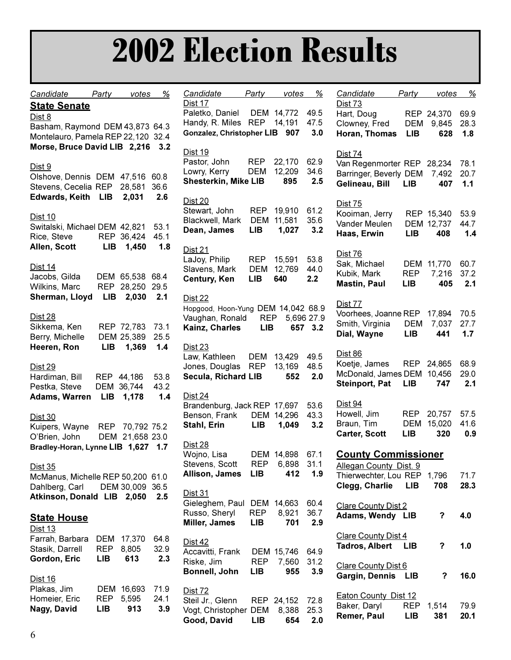# **2002 Election Results**

| Candidate                          | Party                    | votes                          | %     | Candidate                                      | <u>Party</u> | <u>votes</u> | <u>%</u>   | Candidate                   | Party      | votes        | $\frac{9}{6}$ |
|------------------------------------|--------------------------|--------------------------------|-------|------------------------------------------------|--------------|--------------|------------|-----------------------------|------------|--------------|---------------|
| <b>State Senate</b>                |                          |                                |       | Dist 17                                        |              |              |            | <b>Dist 73</b>              |            |              |               |
| Dist 8                             |                          |                                |       | Paletko, Daniel                                |              | DEM 14,772   | 49.5       | Hart, Doug                  |            | REP 24,370   | 69.9          |
| Basham, Raymond DEM 43,873 64.3    |                          |                                |       | Handy, R. Miles REP 14,191                     |              |              | 47.5       | Clowney, Fred               | DEM        | 9,845        | 28.3          |
| Montelauro, Pamela REP 22,120 32.4 |                          |                                |       | Gonzalez, Christopher LIB 907                  |              |              | 3.0        | Horan, Thomas               | <b>LIB</b> | 628          | 1.8           |
| Morse, Bruce David LIB 2,216       |                          |                                | 3.2   |                                                |              |              |            |                             |            |              |               |
|                                    |                          |                                |       | <b>Dist 19</b>                                 |              |              |            | <b>Dist 74</b>              |            |              |               |
| Dist 9                             |                          |                                |       | Pastor, John                                   | <b>REP</b>   | 22,170       | 62.9       | Van Regenmorter REP 28,234  |            |              | 78.1          |
| Olshove, Dennis DEM 47,516 60.8    |                          |                                |       | Lowry, Kerry                                   | <b>DEM</b>   | 12,209       | 34.6       | Barringer, Beverly DEM      |            | 7,492        | 20.7          |
| Stevens, Cecelia REP 28,581        |                          |                                | 36.6  | <b>Shesterkin, Mike LIB</b>                    |              | 895          | 2.5        | Gelineau, Bill              | <b>LIB</b> | 407          | 1.1           |
| <b>Edwards, Keith LIB</b>          |                          | 2,031                          | 2.6   | <b>Dist 20</b>                                 |              |              |            |                             |            |              |               |
|                                    |                          |                                |       | Stewart, John                                  | <b>REP</b>   | 19,910       | 61.2       | <b>Dist 75</b>              |            |              |               |
| <b>Dist 10</b>                     |                          |                                |       | Blackwell, Mark                                |              | DEM 11,581   | 35.6       | Kooiman, Jerry              |            | REP 15,340   | 53.9          |
| Switalski, Michael DEM 42,821      |                          |                                | 53.1  | Dean, James                                    | <b>LIB</b>   | 1,027        | 3.2        | Vander Meulen               |            | DEM 12,737   | 44.7          |
| Rice, Steve                        |                          | REP 36,424                     | 45.1  |                                                |              |              |            | Haas, Erwin                 | <b>LIB</b> | 408          | 1.4           |
| Allen, Scott                       | <b>LIB</b>               | 1,450                          | 1.8   | <b>Dist 21</b>                                 |              |              |            |                             |            |              |               |
|                                    |                          |                                |       | LaJoy, Philip                                  | <b>REP</b>   | 15,591       | 53.8       | Dist 76                     |            |              |               |
| Dist 14                            |                          |                                |       | Slavens, Mark                                  | <b>DEM</b>   | 12,769       | 44.0       | Sak, Michael                |            | DEM 11,770   | 60.7          |
| Jacobs, Gilda                      |                          | DEM 65,538 68.4                |       | <b>Century, Ken</b>                            | <b>LIB</b>   | 640          | 2.2        | Kubik, Mark                 | <b>REP</b> | 7,216<br>405 | 37.2          |
| Wilkins, Marc                      |                          | REP 28,250 29.5                |       |                                                |              |              |            | <b>Mastin, Paul</b>         | <b>LIB</b> |              | 2.1           |
| Sherman, Lloyd                     | LIB                      | 2,030                          | 2.1   | Dist 22                                        |              |              |            | <b>Dist 77</b>              |            |              |               |
|                                    |                          |                                |       | Hopgood, Hoon-Yung DEM 14,042 68.9             |              |              |            | Voorhees, Joanne REP 17,894 |            |              | 70.5          |
| <b>Dist 28</b>                     |                          |                                |       | Vaughan, Ronald                                | REP          |              | 5,696 27.9 | Smith, Virginia             | <b>DEM</b> | 7,037        | 27.7          |
| Sikkema, Ken                       |                          | REP 72,783                     | 73.1  | Kainz, Charles                                 | <b>LIB</b>   |              | 657 3.2    | Dial, Wayne                 | <b>LIB</b> | 441          | 1.7           |
| Berry, Michelle                    |                          | DEM 25,389                     | 25.5  |                                                |              |              |            |                             |            |              |               |
| Heeren, Ron                        | <b>LIB</b>               | 1,369                          | 1.4   | Dist 23                                        |              |              |            | <b>Dist 86</b>              |            |              |               |
|                                    |                          |                                |       | Law, Kathleen                                  | <b>DEM</b>   | 13,429       | 49.5       | Koetje, James               |            | REP 24,865   | 68.9          |
| <b>Dist 29</b>                     |                          |                                |       | Jones, Douglas                                 | <b>REP</b>   | 13,169       | 48.5       | McDonald, James DEM         |            | 10,456       | 29.0          |
| Hardiman, Bill                     |                          | REP 44,186                     | 53.8  | Secula, Richard LIB                            |              | 552          | 2.0        | <b>Steinport, Pat</b>       | <b>LIB</b> | 747          | 2.1           |
| Pestka, Steve                      |                          | DEM 36,744                     | 43.2  |                                                |              |              |            |                             |            |              |               |
| <b>Adams, Warren</b>               | LIB                      | 1,178                          | $1.4$ | <b>Dist 24</b><br>Brandenburg, Jack REP 17,697 |              |              | 53.6       | Dist 94                     |            |              |               |
|                                    |                          |                                |       | Benson, Frank                                  |              | DEM 14,296   | 43.3       | Howell, Jim                 | <b>REP</b> | 20,757       | 57.5          |
| <b>Dist 30</b>                     |                          |                                |       | Stahl, Erin                                    | <b>LIB</b>   | 1,049        | 3.2        | Braun, Tim                  | <b>DEM</b> | 15,020       | 41.6          |
| Kuipers, Wayne<br>O'Brien, John    | <b>REP</b>               | 70,792 75.2<br>DEM 21,658 23.0 |       |                                                |              |              |            | <b>Carter, Scott</b>        | <b>LIB</b> | 320          | 0.9           |
| Bradley-Horan, Lynne LIB 1,627     |                          |                                | 1.7   | Dist 28                                        |              |              |            |                             |            |              |               |
|                                    |                          |                                |       | Wojno, Lisa                                    |              | DEM 14,898   | 67.1       | <b>County Commissioner</b>  |            |              |               |
| <u>Dist 35</u>                     |                          |                                |       | Stevens, Scott                                 | <b>REP</b>   | 6,898        | 31.1       | Allegan County Dist. 9      |            |              |               |
| McManus, Michelle REP 50,200 61.0  |                          |                                |       | <b>Allison, James</b>                          | <b>LIB</b>   | 412          | 1.9        | Thierwechter, Lou REP       |            | 1,796        | 71.7          |
| Dahlberg, Carl                     |                          | DEM 30,009 36.5                |       |                                                |              |              |            | Clegg, Charlie              | <b>LIB</b> | 708          | 28.3          |
| Atkinson, Donald LIB 2,050         |                          |                                | 2.5   | Dist 31                                        |              |              |            |                             |            |              |               |
|                                    |                          |                                |       | Gieleghem, Paul DEM 14,663                     |              |              | 60.4       | <b>Clare County Dist 2</b>  |            |              |               |
| <b>State House</b>                 |                          |                                |       | Russo, Sheryl                                  | <b>REP</b>   | 8,921        | 36.7       | Adams, Wendy LIB            |            | $\mathbf{?}$ | 4.0           |
|                                    |                          |                                |       | <b>Miller, James</b>                           | <b>LIB</b>   | 701          | 2.9        |                             |            |              |               |
| Dist 13                            |                          |                                |       |                                                |              |              |            | <b>Clare County Dist 4</b>  |            |              |               |
| Farrah, Barbara                    |                          | DEM 17,370                     | 64.8  | Dist 42                                        |              |              |            | <b>Tadros, Albert</b>       | LIB        | $\mathbf{P}$ | 1.0           |
| Stasik, Darrell                    | <b>REP</b><br><b>LIB</b> | 8,805<br>613                   | 32.9  | Accavitti, Frank                               |              | DEM 15,746   | 64.9       |                             |            |              |               |
| Gordon, Eric                       |                          |                                | 2.3   | Riske, Jim                                     | <b>REP</b>   | 7,560        | 31.2       | <b>Clare County Dist 6</b>  |            |              |               |
| <u>Dist 16</u>                     |                          |                                |       | Bonnell, John                                  | LIB          | 955          | 3.9        | Gargin, Dennis LIB          |            | ?            | 16.0          |
| Plakas, Jim                        |                          | DEM 16,693                     | 71.9  |                                                |              |              |            |                             |            |              |               |
| Homeier, Eric                      | <b>REP</b>               | 5,595                          | 24.1  | <b>Dist 72</b>                                 |              |              |            | <b>Eaton County Dist 12</b> |            |              |               |
| Nagy, David                        | <b>LIB</b>               | 913                            | 3.9   | Steil Jr., Glenn                               |              | REP 24,152   | 72.8       | Baker, Daryl                | <b>REP</b> | 1,514        | 79.9          |
|                                    |                          |                                |       | Vogt, Christopher DEM                          |              | 8,388<br>654 | 25.3       | Remer, Paul                 | LIB        | 381          | 20.1          |
|                                    |                          |                                |       | Good, David                                    | LIB          |              | 2.0        |                             |            |              |               |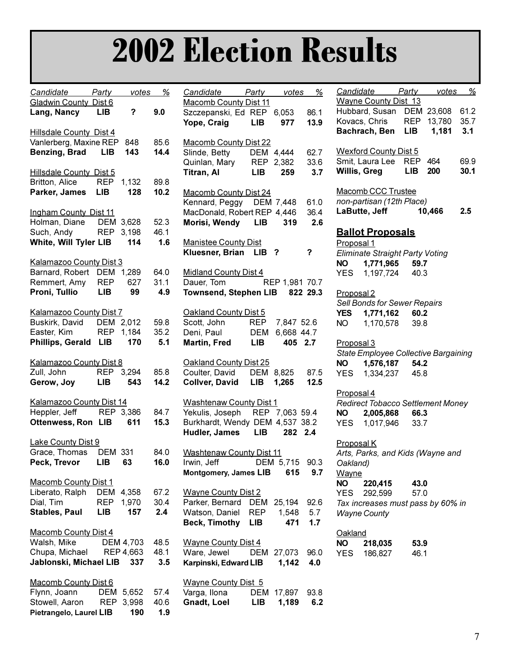# **2002 Election Results**

| <u>Candidate Party</u>                                                                        |                       |                            | <u>votes %</u>      |
|-----------------------------------------------------------------------------------------------|-----------------------|----------------------------|---------------------|
| Gladwin County Dist 6<br>Lang, Nancy                                                          | LIB                   | ?                          | 9.0                 |
| <b>Hillsdale County Dist 4</b><br>Vanlerberg, Maxine REP<br><b>Benzing, Brad</b> LIB          |                       | 848<br>143                 | 85.6<br>14.4        |
| <b>Hillsdale County Dist 5</b><br>Britton, Alice<br>Parker, James                             | <b>REP</b><br>LIB     | 1,132<br>128               | 89.8<br>10.2        |
| <b>Ingham County Dist 11</b><br>Holman, Diane DEM<br>Such, Andy REP<br>White, Will Tyler LIB  |                       | 3,628<br>3,198<br>114      | 52.3<br>46.1<br>1.6 |
| Kalamazoo County Dist 3<br>Barnard, Robert<br>Remmert, Amy<br>Proni, Tullio                   | LIB                   | DEM 1,289<br>REP 627<br>99 | 64.0<br>31.1<br>4.9 |
| Kalamazoo County Dist 7<br>Buskirk, David<br>Easter, Kim<br>Phillips, Gerald LIB 170          |                       | DEM 2,012<br>REP 1,184     | 59.8<br>35.2<br>5.1 |
| <b>Kalamazoo County Dist 8</b><br>Zull, John<br>Gerow, Joy                                    |                       | REP 3,294<br>LIB 543       | 85.8<br>14.2        |
| <b>Kalamazoo County Dist 14</b><br>Heppler, Jeff REP 3,386<br>Ottenwess, Ron LIB 611          |                       |                            | 84.7<br>15.3        |
| <b>Lake County Dist 9</b><br>Grace, Thomas<br>Peck, Trevor                                    | <b>DEM 331</b><br>LIB | 63                         | 84.0<br>16.0        |
| <b>Macomb County Dist 1</b><br>Liberato, Ralph<br>Dial, Tim<br><b>Stables, Paul</b>           | DEM<br>REP<br>LIB     | 4,358<br>1,970<br>157      | 67.2<br>30.4<br>2.4 |
| Macomb County Dist 4<br>Walsh, Mike<br>Chupa, Michael REP 4,663<br>Jablonski, Michael LIB 337 |                       | <b>DEM 4,703</b>           | 48.5<br>48.1<br>3.5 |
| Macomb County Dist 6<br>Flynn, Joann DEM<br>Stowell, Aaron REP<br>Pietrangelo, Laurel LIB     |                       | 5,652<br>3,998<br>190      | 57.4<br>40.6<br>1.9 |

| Candidate Party votes %         |            |                |      |
|---------------------------------|------------|----------------|------|
| Macomb County Dist 11           |            |                |      |
| Szczepanski, Ed REP 6,053       |            |                | 86.1 |
| Yope, Craig                     | <b>LIB</b> | 977            | 13.9 |
|                                 |            |                |      |
|                                 |            |                |      |
| <b>Macomb County Dist 22</b>    |            |                |      |
| Slinde, Betty                   |            | DEM 4,444      | 62.7 |
| Quinlan, Mary                   | <b>REP</b> | 2,382          | 33.6 |
| Titran, Al                      | <b>LIB</b> | 259            | 3.7  |
|                                 |            |                |      |
| <b>Macomb County Dist 24</b>    |            |                |      |
| Kennard, Peggy DEM 7,448        |            |                | 61.0 |
| MacDonald, Robert REP 4,446     |            |                | 36.4 |
| Morisi, Wendy LIB               |            | 319            | 2.6  |
|                                 |            |                |      |
|                                 |            |                |      |
| <b>Manistee County Dist</b>     |            |                |      |
| Kluesner, Brian LIB ?           |            |                | ?    |
|                                 |            |                |      |
| <b>Midland County Dist 4</b>    |            |                |      |
| Dauer, Tom                      |            | REP 1,981 70.7 |      |
| Townsend, Stephen LIB 822 29.3  |            |                |      |
|                                 |            |                |      |
| Oakland County Dist 5           |            |                |      |
| Scott, John                     | <b>REP</b> | 7,847 52.6     |      |
| Deni, Paul                      | DEM        | 6,668 44.7     |      |
| <b>Martin, Fred</b>             | <b>LIB</b> | 405 2.7        |      |
|                                 |            |                |      |
|                                 |            |                |      |
| Oakland County Dist 25          |            |                |      |
| Coulter, David                  |            | DEM 8,825      | 87.5 |
| Collver, David LIB 1,265        |            |                | 12.5 |
|                                 |            |                |      |
| <b>Washtenaw County Dist 1</b>  |            |                |      |
| Yekulis, Joseph REP 7,063 59.4  |            |                |      |
| Burkhardt, Wendy DEM 4,537 38.2 |            |                |      |
| Hudler, James LIB 282           |            |                | 2.4  |
|                                 |            |                |      |
|                                 |            |                |      |
| <b>Washtenaw County Dist 11</b> |            |                |      |
| Irwin, Jeff DEM 5,715 90.3      |            |                |      |
| <b>Montgomery, James LIB</b>    |            | 615            | 9.7  |
|                                 |            |                |      |
| <b>Wayne County Dist 2</b>      |            |                |      |
| Parker, Bernard DEM             |            | 25,194         | 92.6 |
| Watson, Daniel REP              |            | 1,548          | 5.7  |
| Beck, Timothy LIB               |            | 471            | 1.7  |
|                                 |            |                |      |
| <b>Wayne County Dist 4</b>      |            |                |      |
|                                 |            |                |      |
| Ware, Jewel                     |            | DEM 27,073     | 96.0 |
| Karpinski, Edward LIB           |            | 1,142          | 4.0  |
|                                 |            |                |      |
| <b>Wayne County Dist 5</b>      |            |                |      |
| Varga, Ilona                    |            | DEM 17,897     | 93.8 |
| Gnadt, Loel                     | LIB        | 1,189          | 6.2  |

|                       | Candidate Party votes                   |            |                  | %            |
|-----------------------|-----------------------------------------|------------|------------------|--------------|
|                       | <b>Wayne County Dist 13</b>             |            |                  |              |
|                       | Hubbard, Susan DEM<br>Kovacs, Chris REP |            | 23,608<br>13,780 | 61.2<br>35.7 |
|                       | Bachrach, Ben LIB                       |            | 1,181            | 3.1          |
|                       |                                         |            |                  |              |
|                       | <b>Wexford County Dist 5</b>            |            |                  |              |
| Willis, Greg          | Smit, Laura Lee REP 464                 | <b>LIB</b> | <b>200</b>       | 69.9<br>30.1 |
|                       |                                         |            |                  |              |
|                       | Macomb CCC Trustee                      |            |                  |              |
|                       | non-partisan (12th Place)               |            |                  |              |
|                       | LaButte, Jeff                           |            | 10,466           | 2.5          |
|                       | <b>Ballot Proposals</b>                 |            |                  |              |
| Proposal 1            |                                         |            |                  |              |
|                       | Eliminate Straight Party Voting         |            |                  |              |
|                       | NO 1,771,965 59.7                       |            |                  |              |
|                       | YES 1,197,724 40.3                      |            |                  |              |
| Proposal <sub>2</sub> |                                         |            |                  |              |
|                       | Sell Bonds for Sewer Repairs            |            |                  |              |
|                       | YES 1,771,162 60.2                      |            |                  |              |
|                       | NO  1,170,578  39.8                     |            |                  |              |
| Proposal 3            |                                         |            |                  |              |
|                       | State Employee Collective Bargaining    |            |                  |              |
| <b>NO</b>             | 1,576,187 54.2                          |            |                  |              |
|                       | YES  1,334,237  45.8                    |            |                  |              |
|                       |                                         |            |                  |              |
| Proposal 4            | Redirect Tobacco Settlement Money       |            |                  |              |
|                       | NO 2,005,868 66.3                       |            |                  |              |
|                       | YES 1,017,946 33.7                      |            |                  |              |
|                       |                                         |            |                  |              |
| Proposal K            |                                         |            |                  |              |
| Oakland)              | Arts, Parks, and Kids (Wayne and        |            |                  |              |
| <u>Wayne</u>          |                                         |            |                  |              |
| NO I                  | 220,415                                 | 43.0       |                  |              |
| YES                   | 292,599                                 | 57.0       |                  |              |
|                       | Tax increases must pass by 60% in       |            |                  |              |
|                       | <b>Wayne County</b>                     |            |                  |              |
| Oakland               |                                         |            |                  |              |
| NO L                  | 218,035                                 | 53.9       |                  |              |
| YES                   | 186,827                                 | 46.1       |                  |              |
|                       |                                         |            |                  |              |
|                       |                                         |            |                  |              |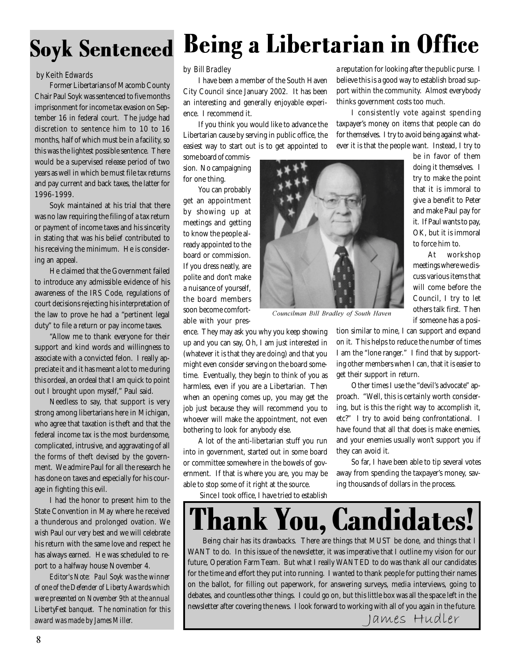### by Keith Edwards by Bill Bradley

Former Libertarians of Macomb County Chair Paul Soyk was sentenced to five months imprisonment for income tax evasion on September 16 in federal court. The judge had discretion to sentence him to 10 to 16 months, half of which must be in a facility, so this was the lightest possible sentence. There would be a supervised release period of two years as well in which be must file tax returns and pay current and back taxes, the latter for 1996-1999.

Soyk maintained at his trial that there was no law requiring the filing of a tax return or payment of income taxes and his sincerity in stating that was his belief contributed to his receiving the minimum. He is considering an appeal.

He claimed that the Government failed to introduce any admissible evidence of his awareness of the IRS Code, regulations of court decisions rejecting his interpretation of the law to prove he had a "pertinent legal duty" to file a return or pay income taxes.

"Allow me to thank everyone for their support and kind words and willingness to associate with a convicted felon. I really appreciate it and it has meant a lot to me during this ordeal, an ordeal that I am quick to point out I brought upon myself," Paul said.

Needless to say, that support is very strong among libertarians here in Michigan, who agree that taxation is theft and that the federal income tax is the most burdensome, complicated, intrusive, and aggravating of all the forms of theft devised by the government. We admire Paul for all the research he has done on taxes and especially for his courage in fighting this evil.

I had the honor to present him to the State Convention in May where he received a thunderous and prolonged ovation. We wish Paul our very best and we will celebrate his return with the same love and respect he has always earned. He was scheduled to report to a halfway house November 4.

*Editor's Note: Paul Soyk was the winner of one of the Defender of Liberty Awards which were presented on November 9th at the annual LibertyFest banquet. The nomination for this award was made by James Miller.*

### Soyk Sentenced Being a Libertarian in Office

I have been a member of the South Haven City Council since January 2002. It has been an interesting and generally enjoyable experience. I recommend it.

If you think you would like to advance the Libertarian cause by serving in public office, the easiest way to start out is to get appointed to

some board of commission. No campaigning for one thing.

You can probably get an appointment by showing up at meetings and getting to know the people already appointed to the board or commission. If you dress neatly, are polite and don't make a nuisance of yourself, the board members soon become comfortable with your pres-

ence. They may ask you why you keep showing up and you can say, Oh, I am just interested in (whatever it is that they are doing) and that you might even consider serving on the board sometime. Eventually, they begin to think of you as harmless, even if you are a Libertarian. Then when an opening comes up, you may get the job just because they will recommend you to whoever will make the appointment, not even bothering to look for anybody else.

A lot of the anti-libertarian stuff you run into in government, started out in some board or committee somewhere in the bowels of government. If that is where you are, you may be able to stop some of it right at the source.

Since I took office, I have tried to establish



Councilman Bill Bradley of South Haven

a reputation for looking after the public purse. I believe this is a good way to establish broad support within the community. Almost everybody thinks government costs too much.

I consistently vote against spending taxpayer's money on items that people can do for themselves. I try to avoid being against whatever it is that the people want. Instead, I try to

> be in favor of them doing it themselves. I try to make the point that it is immoral to give a benefit to Peter and make Paul pay for it. If Paul wants to pay, OK, but it is immoral to force him to.

> At workshop meetings where we discuss various items that will come before the Council, I try to let others talk first. Then if someone has a posi-

tion similar to mine, I can support and expand on it. This helps to reduce the number of times I am the "lone ranger." I find that by supporting other members when I can, that it is easier to get their support in return.

Other times I use the "devil's advocate" approach. "Well, this is certainly worth considering, but is this the right way to accomplish it, etc?" I try to avoid being confrontational. I have found that all that does is make enemies, and your enemies usually won't support you if they can avoid it.

So far, I have been able to tip several votes away from spending the taxpayer's money, saving thousands of dollars in the process.



Being chair has its drawbacks. There are things that MUST be done, and things that I WANT to do. In this issue of the newsletter, it was imperative that I outline my vision for our future, Operation Farm Team. But what I really WANTED to do was thank all our candidates for the time and effort they put into running. I wanted to thank people for putting their names on the ballot, for filling out paperwork, for answering surveys, media interviews, going to debates, and countless other things. I could go on, but this little box was all the space left in the newsletter after covering the news. I look forward to working with all of you again in the future.

g with all of you again in the n<br>I a mes Hudler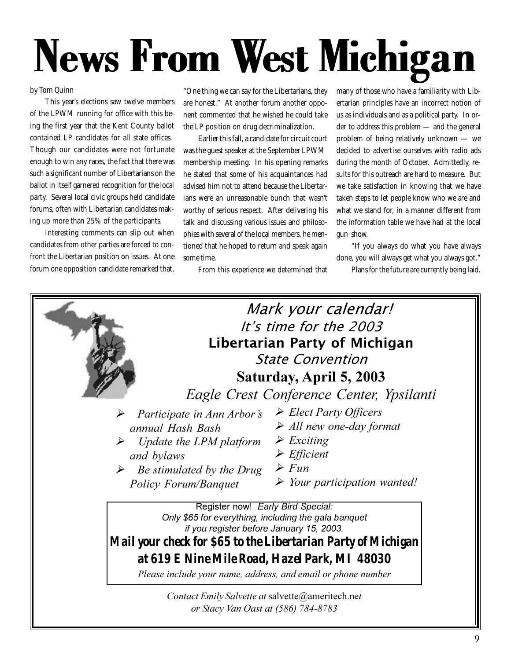# News From West Michigan

#### by Tom Quinn

This year's elections saw twelve members of the LPWM running for office with this being the first year that the Kent County ballot contained LP candidates for all state offices. Though our candidates were not fortunate enough to win any races, the fact that there was such a significant number of Libertarians on the ballot in itself garnered recognition for the local party. Several local civic groups held candidate forums, often with Libertarian candidates making up more than 25% of the participants.

Interesting comments can slip out when candidates from other parties are forced to confront the Libertarian position on issues. At one forum one opposition candidate remarked that,

"One thing we can say for the Libertarians, they are honest." At another forum another opponent commented that he wished he could take the LP position on drug decriminalization.

Earlier this fall, a candidate for circuit court was the guest speaker at the September LPWM membership meeting. In his opening remarks he stated that some of his acquaintances had advised him not to attend because the Libertarians were an unreasonable bunch that wasn't worthy of serious respect. After delivering his talk and discussing various issues and philosophies with several of the local members, he mentioned that he hoped to return and speak again some time.

From this experience we determined that

many of those who have a familiarity with Libertarian principles have an incorrect notion of us as individuals and as a political party. In order to address this problem — and the general problem of being relatively unknown — we decided to advertise ourselves with radio ads during the month of October. Admittedly, results for this outreach are hard to measure. But we take satisfaction in knowing that we have taken steps to let people know who we are and what we stand for, in a manner different from the information table we have had at the local gun show.

"If you always do what you have always done, you will always get what you always got."

Plans for the future are currently being laid.

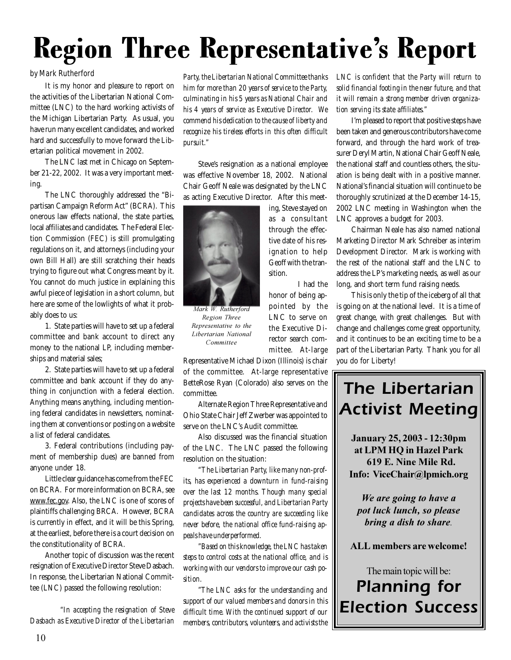## Region Three Representative's Report

#### by Mark Rutherford

It is my honor and pleasure to report on the activities of the Libertarian National Committee (LNC) to the hard working activists of the Michigan Libertarian Party. As usual, you have run many excellent candidates, and worked hard and successfully to move forward the Libertarian political movement in 2002.

The LNC last met in Chicago on September 21-22, 2002. It was a very important meeting.

The LNC thoroughly addressed the "Bipartisan Campaign Reform Act" (BCRA). This onerous law effects national, the state parties, local affiliates and candidates. The Federal Election Commission (FEC) is still promulgating regulations on it, and attorneys (including your own Bill Hall) are still scratching their heads trying to figure out what Congress meant by it. You cannot do much justice in explaining this awful piece of legislation in a short column, but here are some of the lowlights of what it probably does to us:

1. State parties will have to set up a federal committee and bank account to direct any money to the national LP, including memberships and material sales;

2. State parties will have to set up a federal committee and bank account if they do anything in conjunction with a federal election. Anything means anything, including mentioning federal candidates in newsletters, nominating them at conventions or posting on a website a list of federal candidates.

3. Federal contributions (including payment of membership dues) are banned from anyone under 18.

Little clear guidance has come from the FEC on BCRA. For more information on BCRA, see www.fec.gov. Also, the LNC is one of scores of plaintiffs challenging BRCA. However, BCRA is currently in effect, and it will be this Spring, at the earliest, before there is a court decision on the constitutionality of BCRA.

Another topic of discussion was the recent resignation of Executive Director Steve Dasbach. In response, the Libertarian National Committee (LNC) passed the following resolution:

 *"In accepting the resignation of Steve Dasbach as Executive Director of the Libertarian*

*Party, the Libertarian National Committee thanks him for more than 20 years of service to the Party, culminating in his 5 years as National Chair and his 4 years of service as Executive Director. We commend his dedication to the cause of liberty and recognize his tireless efforts in this often difficult pursuit."*

Steve's resignation as a national employee was effective November 18, 2002. National Chair Geoff Neale was designated by the LNC as acting Executive Director. After this meet-

> ing, Steve stayed on as a consultant through the effective date of his resignation to help Geoff with the tran-

> > I had the

honor of being appointed by the LNC to serve on the Executive Director search committee. At-large

sition.



*Mark W. Rutherford*  ${\it Region\ Three}$ **Representative** to the **Libertarian National** Committee

Representative Michael Dixon (Illinois) is chair of the committee. At-large representative BetteRose Ryan (Colorado) also serves on the committee.

Alternate Region Three Representative and Ohio State Chair Jeff Zwerber was appointed to serve on the LNC's Audit committee.

Also discussed was the financial situation of the LNC. The LNC passed the following resolution on the situation:

*"The Libertarian Party, like many non-profits, has experienced a downturn in fund-raising over the last 12 months. Though many special projects have been successful, and Libertarian Party candidates across the country are succeeding like never before, the national office fund-raising appeals have underperformed.*

*"Based on this knowledge, the LNC has taken steps to control costs at the national office, and is working with our vendors to improve our cash position.*

*"The LNC asks for the understanding and support of our valued members and donors in this difficult time. With the continued support of our members, contributors, volunteers, and activists the*

*LNC is confident that the Party will return to solid financial footing in the near future, and that it will remain a strong member driven organization serving its state affiliates."*

I'm pleased to report that positive steps have been taken and generous contributors have come forward, and through the hard work of treasurer Deryl Martin, National Chair Geoff Neale, the national staff and countless others, the situation is being dealt with in a positive manner. National's financial situation will continue to be thoroughly scrutinized at the December 14-15, 2002 LNC meeting in Washington when the LNC approves a budget for 2003.

Chairman Neale has also named national Marketing Director Mark Schreiber as interim Development Director. Mark is working with the rest of the national staff and the LNC to address the LP's marketing needs, as well as our long, and short term fund raising needs.

This is only the tip of the iceberg of all that is going on at the national level. It is a time of great change, with great challenges. But with change and challenges come great opportunity, and it continues to be an exciting time to be a part of the Libertarian Party. Thank you for all you do for Liberty!

### The Libertarian **Activist Meeting**

January 25, 2003 - 12:30pm at LPM HQ in Hazel Park 619 E. Nine Mile Rd. Info: ViceChair@lpmich.org

*We are going to have a* pot luck lunch, so please *<i>bring a dish to share.* 

 $ALL$  members are welcome!

The main topic will be: **Planning for Election Success**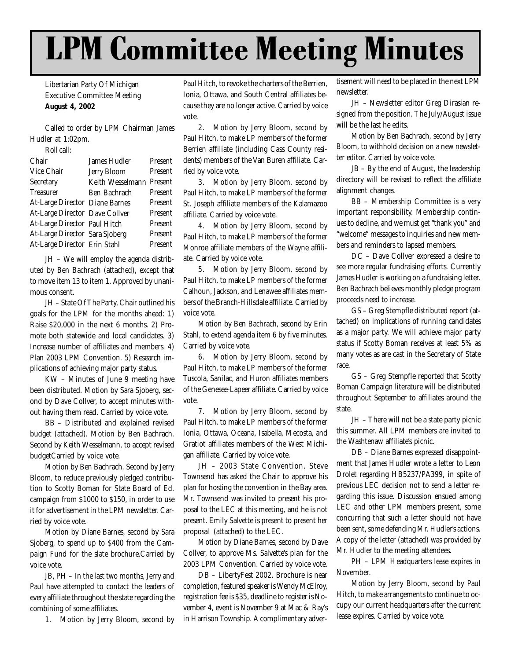## LPM Committee Meeting Minutes

Libertarian Party Of Michigan Executive Committee Meeting **August 4, 2002**

Called to order by LPM Chairman James Hudler at 1:02pm.

Roll call:

| Chair                          | James Hudler       | Present |
|--------------------------------|--------------------|---------|
| Vice Chair                     | <b>Jerry Bloom</b> | Present |
| Secretary                      | Keith Wesselmann   | Present |
| <b>Treasurer</b>               | Ben Bachrach       | Present |
| At-Large Director Diane Barnes |                    | Present |
| At-Large Director Dave Collver |                    | Present |
| At-Large Director Paul Hitch   |                    | Present |
| At-Large Director Sara Sjoberg |                    | Present |
| At-Large Director Erin Stahl   |                    | Present |
|                                |                    |         |

JH – We will employ the agenda distributed by Ben Bachrach (attached), except that to move item 13 to item 1. Approved by unanimous consent.

JH – State Of The Party, Chair outlined his goals for the LPM for the months ahead: 1) Raise \$20,000 in the next 6 months. 2) Promote both statewide and local candidates. 3) Increase number of affiliates and members. 4) Plan 2003 LPM Convention. 5) Research implications of achieving major party status.

KW – Minutes of June 9 meeting have been distributed. Motion by Sara Sjoberg, second by Dave Collver, to accept minutes without having them read. Carried by voice vote.

BB – Distributed and explained revised budget (attached). Motion by Ben Bachrach. Second by Keith Wesselmann, to accept revised budgetCarried by voice vote.

Motion by Ben Bachrach. Second by Jerry Bloom, to reduce previously pledged contribution to Scotty Boman for State Board of Ed. campaign from \$1000 to \$150, in order to use it for advertisement in the LPM newsletter. Carried by voice vote.

Motion by Diane Barnes, second by Sara Sjoberg, to spend up to \$400 from the Campaign Fund for the slate brochure.Carried by voice vote.

JB, PH – In the last two months, Jerry and Paul have attempted to contact the leaders of every affiliate throughout the state regarding the combining of some affiliates.

1. Motion by Jerry Bloom, second by

Paul Hitch, to revoke the charters of the Berrien, Ionia, Ottawa, and South Central affiliates because they are no longer active. Carried by voice vote.

2. Motion by Jerry Bloom, second by Paul Hitch, to make LP members of the former Berrien affiliate (including Cass County residents) members of the Van Buren affiliate. Carried by voice vote.

3. Motion by Jerry Bloom, second by Paul Hitch, to make LP members of the former St. Joseph affiliate members of the Kalamazoo affiliate. Carried by voice vote.

4. Motion by Jerry Bloom, second by Paul Hitch, to make LP members of the former Monroe affiliate members of the Wayne affiliate. Carried by voice vote.

5. Motion by Jerry Bloom, second by Paul Hitch, to make LP members of the former Calhoun, Jackson, and Lenawee affiliates members of the Branch-Hillsdale affiliate. Carried by voice vote.

Motion by Ben Bachrach, second by Erin Stahl, to extend agenda item 6 by five minutes. Carried by voice vote.

6. Motion by Jerry Bloom, second by Paul Hitch, to make LP members of the former Tuscola, Sanilac, and Huron affiliates members of the Genesee-Lapeer affiliate. Carried by voice vote.

7. Motion by Jerry Bloom, second by Paul Hitch, to make LP members of the former Ionia, Ottawa, Oceana, Isabella, Mecosta, and Gratiot affiliates members of the West Michigan affiliate. Carried by voice vote.

JH – 2003 State Convention. Steve Townsend has asked the Chair to approve his plan for hosting the convention in the Bay area. Mr. Townsend was invited to present his proposal to the LEC at this meeting, and he is not present. Emily Salvette is present to present her proposal (attached) to the LEC.

Motion by Diane Barnes, second by Dave Collver, to approve Ms. Salvette's plan for the 2003 LPM Convention. Carried by voice vote.

DB – LibertyFest 2002. Brochure is near completion, featured speaker is Wendy McElroy, registration fee is \$35, deadline to register is November 4, event is November 9 at Mac & Ray's in Harrison Township. A complimentary advertisement will need to be placed in the next LPM newsletter.

JH – Newsletter editor Greg Dirasian resigned from the position. The July/August issue will be the last he edits.

Motion by Ben Bachrach, second by Jerry Bloom, to withhold decision on a new newsletter editor. Carried by voice vote.

JB – By the end of August, the leadership directory will be revised to reflect the affiliate alignment changes.

BB – Membership Committee is a very important responsibility. Membership continues to decline, and we must get "thank you" and "welcome" messages to inquiries and new members and reminders to lapsed members.

DC – Dave Collver expressed a desire to see more regular fundraising efforts. Currently James Hudler is working on a fundraising letter. Ben Bachrach believes monthly pledge program proceeds need to increase.

GS – Greg Stempfle distributed report (attached) on implications of running candidates as a major party. We will achieve major party status if Scotty Boman receives at least 5% as many votes as are cast in the Secretary of State race.

GS – Greg Stempfle reported that Scotty Boman Campaign literature will be distributed throughout September to affiliates around the state.

JH – There will not be a state party picnic this summer. All LPM members are invited to the Washtenaw affiliate's picnic.

DB – Diane Barnes expressed disappointment that James Hudler wrote a letter to Leon Drolet regarding HB5237/PA399, in spite of previous LEC decision not to send a letter regarding this issue. Discussion ensued among LEC and other LPM members present, some concurring that such a letter should not have been sent, some defending Mr. Hudler's actions. A copy of the letter (attached) was provided by Mr. Hudler to the meeting attendees.

PH – LPM Headquarters lease expires in November.

Motion by Jerry Bloom, second by Paul Hitch, to make arrangements to continue to occupy our current headquarters after the current lease expires. Carried by voice vote.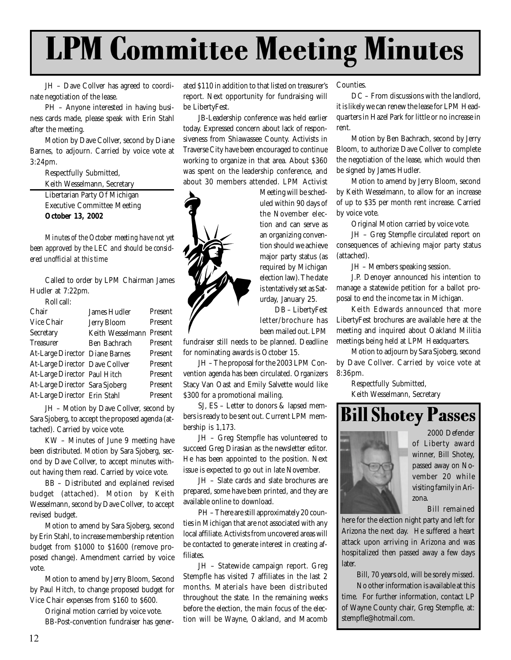## LPM Committee Meeting Minutes

JH – Dave Collver has agreed to coordinate negotiation of the lease.

PH – Anyone interested in having business cards made, please speak with Erin Stahl after the meeting.

Motion by Dave Collver, second by Diane Barnes, to adjourn. Carried by voice vote at 3:24pm.

Respectfully Submitted, Keith Wesselmann, Secretary

Libertarian Party Of Michigan Executive Committee Meeting **October 13, 2002**

*Minutes of the October meeting have not yet been approved by the LEC and should be considered unofficial at this time*

Called to order by LPM Chairman James Hudler at 7:22pm. Roll call:

| ROIL CAIL.                     |                          |         |
|--------------------------------|--------------------------|---------|
| Chair                          | <b>James Hudler</b>      | Present |
| Vice Chair                     | <b>Jerry Bloom</b>       | Present |
| Secretary                      | Keith Wesselmann Present |         |
| <b>Treasurer</b>               | Ben Bachrach             | Present |
| At-Large Director Diane Barnes |                          | Present |
| At-Large Director Dave Collver |                          | Present |
| At-Large Director Paul Hitch   |                          | Present |
| At-Large Director Sara Sjoberg |                          | Present |
| At-Large Director Erin Stahl   |                          | Present |

JH – Motion by Dave Collver, second by Sara Sjoberg, to accept the proposed agenda (attached). Carried by voice vote.

KW – Minutes of June 9 meeting have been distributed. Motion by Sara Sjoberg, second by Dave Collver, to accept minutes without having them read. Carried by voice vote.

BB – Distributed and explained revised budget (attached). Motion by Keith Wesselmann, second by Dave Collver, to accept revised budget.

Motion to amend by Sara Sjoberg, second by Erin Stahl, to increase membership retention budget from \$1000 to \$1600 (remove proposed change). Amendment carried by voice vote.

Motion to amend by Jerry Bloom, Second by Paul Hitch, to change proposed budget for Vice Chair expenses from \$160 to \$600.

Original motion carried by voice vote.

BB-Post-convention fundraiser has gener-

ated \$110 in addition to that listed on treasurer's report. Next opportunity for fundraising will be LibertyFest.

JB-Leadership conference was held earlier today. Expressed concern about lack of responsiveness from Shiawassee County. Activists in Traverse City have been encouraged to continue working to organize in that area. About \$360 was spent on the leadership conference, and about 30 members attended. LPM Activist

Meeting will be scheduled within 90 days of the November election and can serve as an organizing convention should we achieve major party status (as required by Michigan election law). The date is tentatively set as Saturday, January 25.

DB – LibertyFest letter/brochure has

been mailed out. LPM

fundraiser still needs to be planned. Deadline for nominating awards is October 15.

JH – The proposal for the 2003 LPM Convention agenda has been circulated. Organizers Stacy Van Oast and Emily Salvette would like \$300 for a promotional mailing.

SJ, ES – Letter to donors & lapsed members is ready to be sent out. Current LPM membership is 1,173.

JH – Greg Stempfle has volunteered to succeed Greg Dirasian as the newsletter editor. He has been appointed to the position. Next issue is expected to go out in late November.

JH – Slate cards and slate brochures are prepared, some have been printed, and they are available online to download.

PH – There are still approximately 20 counties in Michigan that are not associated with any local affiliate. Activists from uncovered areas will be contacted to generate interest in creating affiliates.

JH – Statewide campaign report. Greg Stempfle has visited 7 affiliates in the last 2 months. Materials have been distributed throughout the state. In the remaining weeks before the election, the main focus of the election will be Wayne, Oakland, and Macomb Counties.

DC – From discussions with the landlord, it is likely we can renew the lease for LPM Headquarters in Hazel Park for little or no increase in rent.

Motion by Ben Bachrach, second by Jerry Bloom, to authorize Dave Collver to complete the negotiation of the lease, which would then be signed by James Hudler.

Motion to amend by Jerry Bloom, second by Keith Wesselmann, to allow for an increase of up to \$35 per month rent increase. Carried by voice vote.

Original Motion carried by voice vote.

JH – Greg Stempfle circulated report on consequences of achieving major party status (attached).

JH – Members speaking session.

J.P. Denoyer announced his intention to manage a statewide petition for a ballot proposal to end the income tax in Michigan.

Keith Edwards announced that more LibertyFest brochures are available here at the meeting and inquired about Oakland Militia meetings being held at LPM Headquarters.

Motion to adjourn by Sara Sjoberg, second by Dave Collver. Carried by voice vote at 8:36pm.

Respectfully Submitted,

Keith Wesselmann, Secretary

### Bill Shotey Passes



2000 Defender of Liberty award winner, Bill Shotey, passed away on November 20 while visiting family in Arizona.

Bill remained

here for the election night party and left for Arizona the next day. He suffered a heart attack upon arriving in Arizona and was hospitalized then passed away a few days later.

> Bill, 70 years old, will be sorely missed. No other information is available at this

time. For further information, contact LP of Wayne County chair, Greg Stempfle, at: stempfle@hotmail.com.

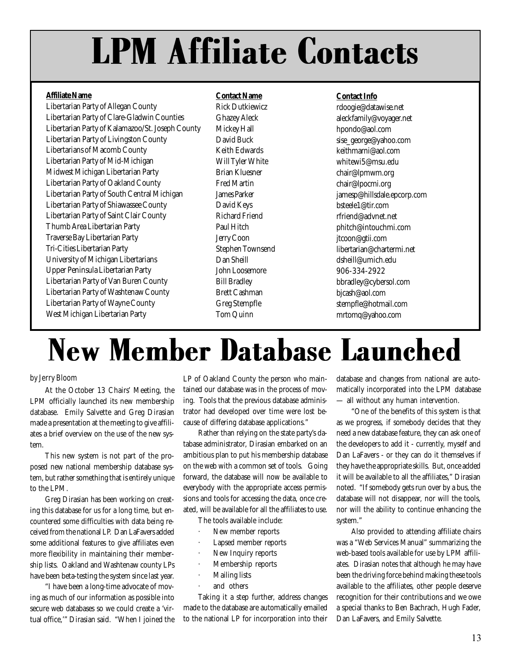# LPM Affiliate Contacts

#### **Affiliate Name**

Libertarian Party of Allegan County Libertarian Party of Clare-Gladwin Counties Libertarian Party of Kalamazoo/St. Joseph County Libertarian Party of Livingston County Libertarians of Macomb County Libertarian Party of Mid-Michigan Midwest Michigan Libertarian Party Libertarian Party of Oakland County Libertarian Party of South Central Michigan Libertarian Party of Shiawassee County Libertarian Party of Saint Clair County Thumb Area Libertarian Party Traverse Bay Libertarian Party Tri-Cities Libertarian Party University of Michigan Libertarians Upper Peninsula Libertarian Party Libertarian Party of Van Buren County Libertarian Party of Washtenaw County Libertarian Party of Wayne County West Michigan Libertarian Party

### **Contact Name**

Rick Dutkiewicz Ghazey Aleck Mickey Hall David Buck Keith Edwards Will Tyler White Brian Kluesner Fred Martin James Parker David Keys Richard Friend Paul Hitch Jerry Coon Stephen Townsend Dan Sheill John Loosemore Bill Bradley Brett Cashman Greg Stempfle Tom Quinn

#### **Contact Info**

rdoogie@datawise.net aleckfamily@voyager.net hpondo@aol.com sise\_george@yahoo.com keithmarni@aol.com whitewi5@msu.edu chair@lpmwm.org chair@lpocmi.org jamesp@hillsdale.epcorp.com bsteele1@tir.com rfriend@advnet.net phitch@intouchmi.com jtcoon@gtii.com libertarian@chartermi.net dsheill@umich.edu 906-334-2922 bbradley@cybersol.com bjcash@aol.com stempfle@hotmail.com mrtomq@yahoo.com

### New Member Database Launched

#### by Jerry Bloom

At the October 13 Chairs' Meeting, the LPM officially launched its new membership database. Emily Salvette and Greg Dirasian made a presentation at the meeting to give affiliates a brief overview on the use of the new system.

This new system is not part of the proposed new national membership database system, but rather something that is entirely unique to the LPM.

Greg Dirasian has been working on creating this database for us for a long time, but encountered some difficulties with data being received from the national LP. Dan LaFavers added some additional features to give affiliates even more flexibility in maintaining their membership lists. Oakland and Washtenaw county LPs have been beta-testing the system since last year.

"I have been a long-time advocate of moving as much of our information as possible into secure web databases so we could create a 'virtual office,'" Dirasian said. "When I joined the LP of Oakland County the person who maintained our database was in the process of moving. Tools that the previous database administrator had developed over time were lost because of differing database applications."

Rather than relying on the state party's database administrator, Dirasian embarked on an ambitious plan to put his membership database on the web with a common set of tools. Going forward, the database will now be available to everybody with the appropriate access permissions and tools for accessing the data, once created, will be available for all the affiliates to use.

The tools available include:

- · New member reports
- · Lapsed member reports
- New Inquiry reports
- Membership reports
- · Mailing lists
- and others

Taking it a step further, address changes made to the database are automatically emailed to the national LP for incorporation into their database and changes from national are automatically incorporated into the LPM database — all without any human intervention.

"One of the benefits of this system is that as we progress, if somebody decides that they need a new database feature, they can ask one of the developers to add it - currently, myself and Dan LaFavers - or they can do it themselves if they have the appropriate skills. But, once added it will be available to all the affiliates," Dirasian noted. "If somebody gets run over by a bus, the database will not disappear, nor will the tools, nor will the ability to continue enhancing the system."

Also provided to attending affiliate chairs was a "Web Services Manual" summarizing the web-based tools available for use by LPM affiliates. Dirasian notes that although he may have been the driving force behind making these tools available to the affiliates, other people deserve recognition for their contributions and we owe a special thanks to Ben Bachrach, Hugh Fader, Dan LaFavers, and Emily Salvette.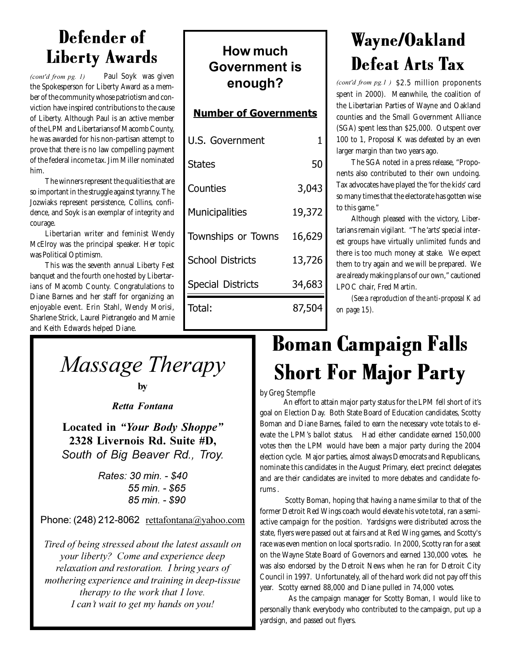### Defender of Liberty Awards

Paul Soyk was given the Spokesperson for Liberty Award as a member of the community whose patriotism and conviction have inspired contributions to the cause of Liberty. Although Paul is an active member of the LPM and Libertarians of Macomb County, he was awarded for his non-partisan attempt to prove that there is no law compelling payment of the federal income tax. Jim Miller nominated him. *(cont'd from pg. 1)* 

The winners represent the qualities that are so important in the struggle against tyranny. The Jozwiaks represent persistence, Collins, confidence, and Soyk is an exemplar of integrity and courage.

Libertarian writer and feminist Wendy McElroy was the principal speaker. Her topic was Political Optimism.

This was the seventh annual Liberty Fest banquet and the fourth one hosted by Libertarians of Macomb County. Congratulations to Diane Barnes and her staff for organizing an enjoyable event. Erin Stahl, Wendy Morisi, Sharlene Strick, Laurel Pietrangelo and Marnie and Keith Edwards helped Diane.

### **How much Government** is enough?

### **Number of Governments**

| U.S. Government          |        |
|--------------------------|--------|
| <b>States</b>            | 50     |
| Counties                 | 3,043  |
| <b>Municipalities</b>    | 19,372 |
| Townships or Towns       | 16,629 |
| <b>School Districts</b>  | 13,726 |
| <b>Special Districts</b> | 34,683 |
| Total:                   | 87,504 |
|                          |        |

### Wayne/Oakland Defeat Arts Tax

 $\phi$  *(cont'd from pg.1 )* \$2.5 million proponents spent in 2000). Meanwhile, the coalition of the Libertarian Parties of Wayne and Oakland counties and the Small Government Alliance (SGA) spent less than \$25,000. Outspent over 100 to 1, Proposal K was defeated by an even larger margin than two years ago.

The SGA noted in a press release, "Proponents also contributed to their own undoing. Tax advocates have played the 'for the kids' card so many times that the electorate has gotten wise to this game."

Although pleased with the victory, Libertarians remain vigilant. "The 'arts' special interest groups have virtually unlimited funds and there is too much money at stake. We expect them to try again and we will be prepared. We are already making plans of our own," cautioned LPOC chair, Fred Martin.

*(See a reproduction of the anti-proposal K ad on page 15).*

*Massage Therapy* 

**by** 

**Retta Fontana** 

**Located in "Your Body Shoppe"** 2328 Livernois Rd. Suite #D. South of Big Beaver Rd., Troy.

> **Rates: 30 min. - \$40** 55 min. - \$65 85 min. - \$90

Phone:  $(248)$  212-8062 rettafontana@vahoo.com

Tired of being stressed about the latest assault on *your liberty? Come and experience deep* relaxation and restoration. I bring years of mothering experience and training in deep-tissue therapy to the work that I love. I can't wait to get my hands on you!

### Boman Campaign Falls Short For Major Party

### by Greg Stempfle

 An effort to attain major party status for the LPM fell short of it's goal on Election Day. Both State Board of Education candidates, Scotty Boman and Diane Barnes, failed to earn the necessary vote totals to elevate the LPM's ballot status. Had either candidate earned 150,000 votes then the LPM would have been a major party during the 2004 election cycle. Major parties, almost always Democrats and Republicans, nominate this candidates in the August Primary, elect precinct delegates and are their candidates are invited to more debates and candidate forums .

 Scotty Boman, hoping that having a name similar to that of the former Detroit Red Wings coach would elevate his vote total, ran a semiactive campaign for the position. Yardsigns were distributed across the state, flyers were passed out at fairs and at Red Wing games, and Scotty's race was even mention on local sports radio. In 2000, Scotty ran for a seat on the Wayne State Board of Governors and earned 130,000 votes. he was also endorsed by the Detroit News when he ran for Detroit City Council in 1997. Unfortunately, all of the hard work did not pay off this year. Scotty earned 88,000 and Diane pulled in 74,000 votes.

 As the campaign manager for Scotty Boman, I would like to personally thank everybody who contributed to the campaign, put up a yardsign, and passed out flyers.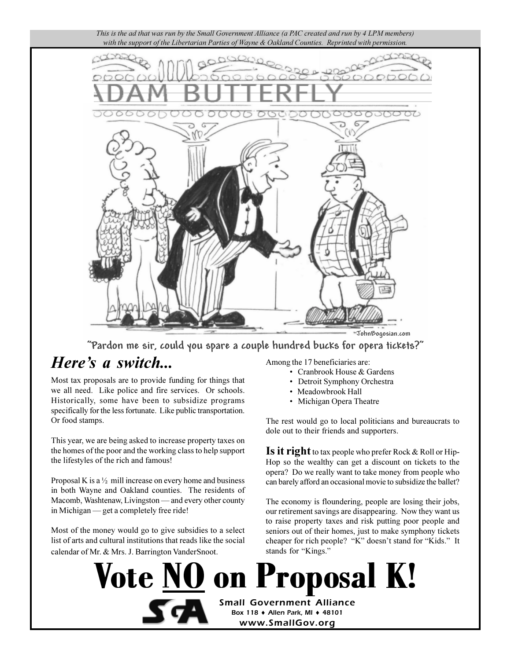

"Pardon me sir, could you spare a couple hundred bucks for opera tickets?"

**Vote NO on Proposal K!** 

**Small Government Alliance** Box 118 + Allen Park, MI + 48101 www.SmallGov.org

### Here's a switch...

Most tax proposals are to provide funding for things that we all need. Like police and fire services. Or schools. Historically, some have been to subsidize programs specifically for the less fortunate. Like public transportation. Or food stamps.

This year, we are being asked to increase property taxes on the homes of the poor and the working class to help support the lifestyles of the rich and famous!

Proposal K is a  $\frac{1}{2}$  mill increase on every home and business in both Wayne and Oakland counties. The residents of Macomb, Washtenaw, Livingston — and every other county in Michigan — get a completely free ride!

Most of the money would go to give subsidies to a select list of arts and cultural institutions that reads like the social calendar of Mr. & Mrs. J. Barrington VanderSnoot.

Among the 17 beneficiaries are:

- Cranbrook House & Gardens
- Detroit Symphony Orchestra
- Meadowbrook Hall
- Michigan Opera Theatre

The rest would go to local politicians and bureaucrats to dole out to their friends and supporters.

**Is it right** to tax people who prefer Rock  $\&$  Roll or Hip-Hop so the wealthy can get a discount on tickets to the opera? Do we really want to take money from people who can barely afford an occasional movie to subsidize the ballet?

The economy is floundering, people are losing their jobs, our retirement savings are disappearing. Now they want us to raise property taxes and risk putting poor people and seniors out of their homes, just to make symphony tickets cheaper for rich people? "K" doesn't stand for "Kids." It stands for "Kings."